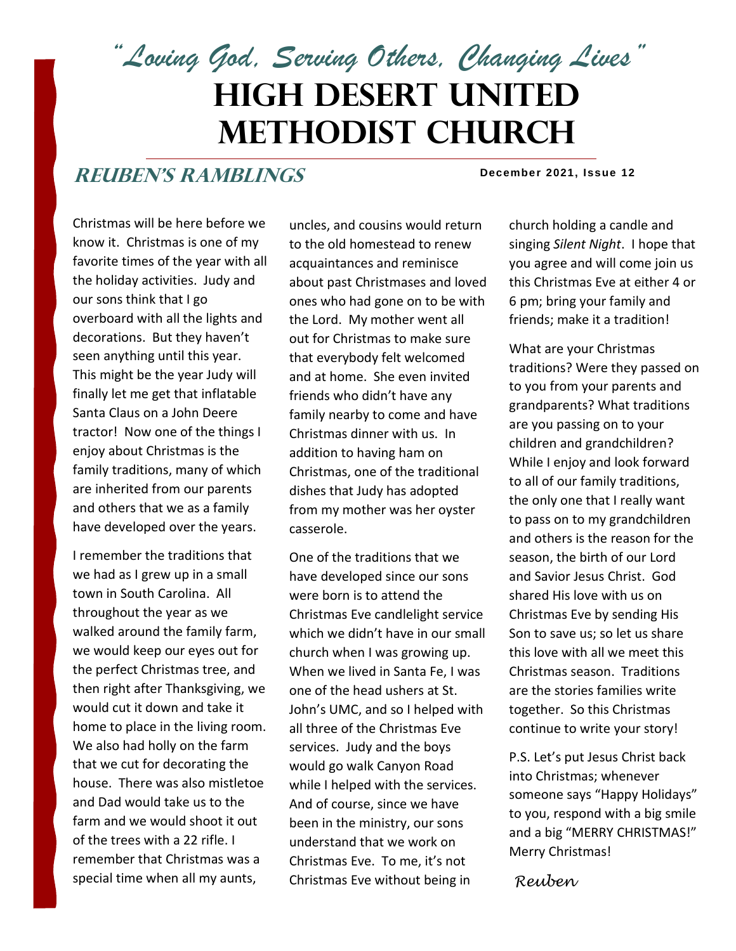*"Loving God, Serving Others, Changing Lives"*

# **High Desert United Methodist Church**

## **ReuBEN'S RAMBLINGS**

#### **December 2021, Issue 12**

Christmas will be here before we know it. Christmas is one of my favorite times of the year with all the holiday activities. Judy and our sons think that I go overboard with all the lights and decorations. But they haven't seen anything until this year. This might be the year Judy will finally let me get that inflatable Santa Claus on a John Deere tractor! Now one of the things I enjoy about Christmas is the family traditions, many of which are inherited from our parents and others that we as a family have developed over the years.

I remember the traditions that we had as I grew up in a small town in South Carolina. All throughout the year as we walked around the family farm, we would keep our eyes out for the perfect Christmas tree, and then right after Thanksgiving, we would cut it down and take it home to place in the living room. We also had holly on the farm that we cut for decorating the house. There was also mistletoe and Dad would take us to the farm and we would shoot it out of the trees with a 22 rifle. I remember that Christmas was a special time when all my aunts,

uncles, and cousins would return to the old homestead to renew acquaintances and reminisce about past Christmases and loved ones who had gone on to be with the Lord. My mother went all out for Christmas to make sure that everybody felt welcomed and at home. She even invited friends who didn't have any family nearby to come and have Christmas dinner with us. In addition to having ham on Christmas, one of the traditional dishes that Judy has adopted from my mother was her oyster casserole.

One of the traditions that we have developed since our sons were born is to attend the Christmas Eve candlelight service which we didn't have in our small church when I was growing up. When we lived in Santa Fe, I was one of the head ushers at St. John's UMC, and so I helped with all three of the Christmas Eve services. Judy and the boys would go walk Canyon Road while I helped with the services. And of course, since we have been in the ministry, our sons understand that we work on Christmas Eve. To me, it's not Christmas Eve without being in

church holding a candle and singing *Silent Night*. I hope that you agree and will come join us this Christmas Eve at either 4 or 6 pm; bring your family and friends; make it a tradition!

What are your Christmas traditions? Were they passed on to you from your parents and grandparents? What traditions are you passing on to your children and grandchildren? While I enjoy and look forward to all of our family traditions, the only one that I really want to pass on to my grandchildren and others is the reason for the season, the birth of our Lord and Savior Jesus Christ. God shared His love with us on Christmas Eve by sending His Son to save us; so let us share this love with all we meet this Christmas season. Traditions are the stories families write together. So this Christmas continue to write your story!

P.S. Let's put Jesus Christ back into Christmas; whenever someone says "Happy Holidays" to you, respond with a big smile and a big "MERRY CHRISTMAS!" Merry Christmas!

*Reuben*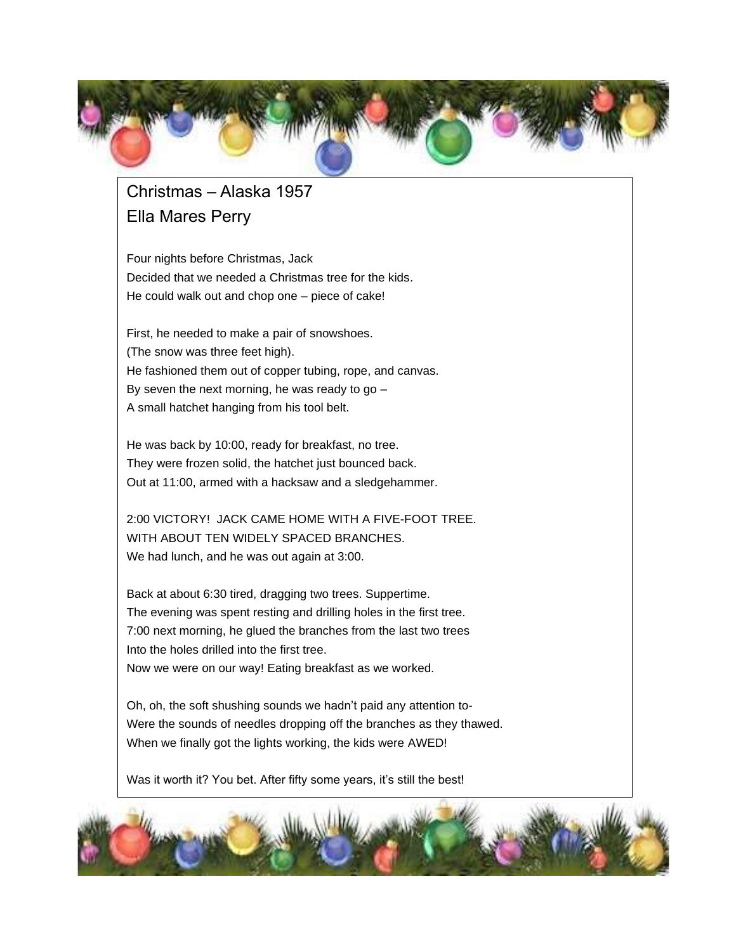

## Christmas – Alaska 1957 Ella Mares Perry

Four nights before Christmas, Jack Decided that we needed a Christmas tree for the kids. He could walk out and chop one – piece of cake!

First, he needed to make a pair of snowshoes. (The snow was three feet high). He fashioned them out of copper tubing, rope, and canvas. By seven the next morning, he was ready to go – A small hatchet hanging from his tool belt.

He was back by 10:00, ready for breakfast, no tree. They were frozen solid, the hatchet just bounced back. Out at 11:00, armed with a hacksaw and a sledgehammer.

2:00 VICTORY! JACK CAME HOME WITH A FIVE-FOOT TREE. WITH ABOUT TEN WIDELY SPACED BRANCHES. We had lunch, and he was out again at 3:00.

Back at about 6:30 tired, dragging two trees. Suppertime. The evening was spent resting and drilling holes in the first tree. 7:00 next morning, he glued the branches from the last two trees Into the holes drilled into the first tree. Now we were on our way! Eating breakfast as we worked.

Oh, oh, the soft shushing sounds we hadn't paid any attention to-Were the sounds of needles dropping off the branches as they thawed. When we finally got the lights working, the kids were AWED!

Was it worth it? You bet. After fifty some years, it's still the best!

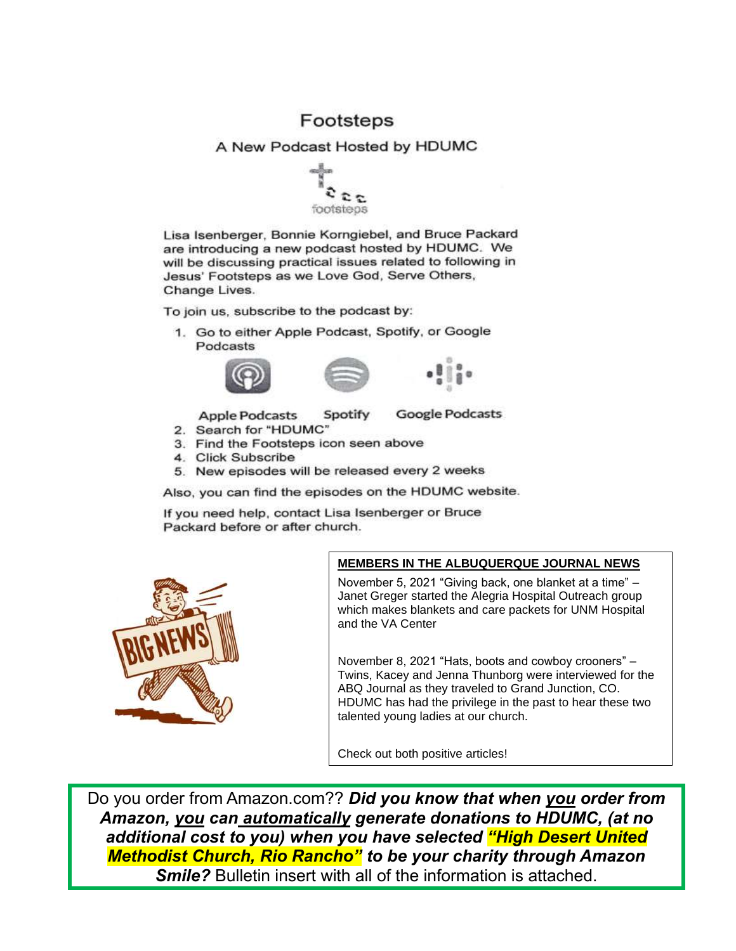### Footsteps

A New Podcast Hosted by HDUMC



Lisa Isenberger, Bonnie Korngiebel, and Bruce Packard are introducing a new podcast hosted by HDUMC. We will be discussing practical issues related to following in Jesus' Footsteps as we Love God, Serve Others, Change Lives.

To join us, subscribe to the podcast by:

1. Go to either Apple Podcast, Spotify, or Google Podcasts



**Apple Podcasts** Spotify **Google Podcasts** 

- 2. Search for "HDUMC"
- 3. Find the Footsteps icon seen above
- 4. Click Subscribe
- 5. New episodes will be released every 2 weeks

Also, you can find the episodes on the HDUMC website.

If you need help, contact Lisa Isenberger or Bruce Packard before or after church.



#### **MEMBERS IN THE ALBUQUERQUE JOURNAL NEWS**

November 5, 2021 "Giving back, one blanket at a time" – Janet Greger started the Alegria Hospital Outreach group which makes blankets and care packets for UNM Hospital and the VA Center

November 8, 2021 "Hats, boots and cowboy crooners" – Twins, Kacey and Jenna Thunborg were interviewed for the ABQ Journal as they traveled to Grand Junction, CO. HDUMC has had the privilege in the past to hear these two talented young ladies at our church.

Check out both positive articles!

Do you order from Amazon.com?? *Did you know that when you order from Amazon, you can automatically generate donations to HDUMC, (at no additional cost to you) when you have selected "High Desert United Methodist Church, Rio Rancho" to be your charity through Amazon Smile?* Bulletin insert with all of the information is attached.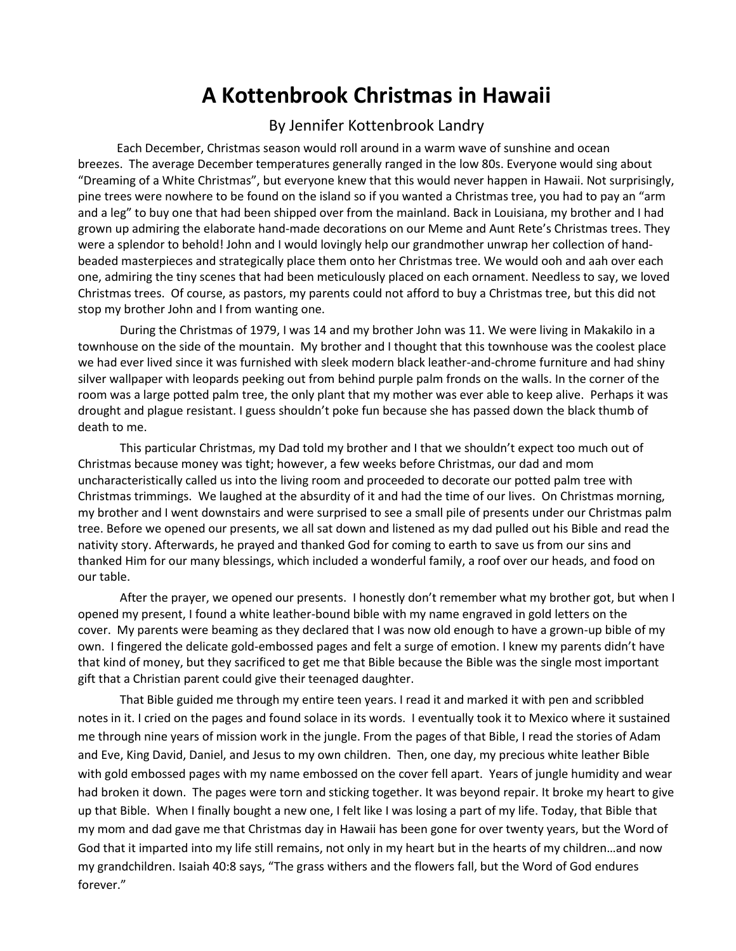## **A Kottenbrook Christmas in Hawaii**

#### By Jennifer Kottenbrook Landry

 Each December, Christmas season would roll around in a warm wave of sunshine and ocean breezes. The average December temperatures generally ranged in the low 80s. Everyone would sing about "Dreaming of a White Christmas", but everyone knew that this would never happen in Hawaii. Not surprisingly, pine trees were nowhere to be found on the island so if you wanted a Christmas tree, you had to pay an "arm and a leg" to buy one that had been shipped over from the mainland. Back in Louisiana, my brother and I had grown up admiring the elaborate hand-made decorations on our Meme and Aunt Rete's Christmas trees. They were a splendor to behold! John and I would lovingly help our grandmother unwrap her collection of handbeaded masterpieces and strategically place them onto her Christmas tree. We would ooh and aah over each one, admiring the tiny scenes that had been meticulously placed on each ornament. Needless to say, we loved Christmas trees. Of course, as pastors, my parents could not afford to buy a Christmas tree, but this did not stop my brother John and I from wanting one.

 During the Christmas of 1979, I was 14 and my brother John was 11. We were living in Makakilo in a townhouse on the side of the mountain. My brother and I thought that this townhouse was the coolest place we had ever lived since it was furnished with sleek modern black leather-and-chrome furniture and had shiny silver wallpaper with leopards peeking out from behind purple palm fronds on the walls. In the corner of the room was a large potted palm tree, the only plant that my mother was ever able to keep alive. Perhaps it was drought and plague resistant. I guess shouldn't poke fun because she has passed down the black thumb of death to me.

 This particular Christmas, my Dad told my brother and I that we shouldn't expect too much out of Christmas because money was tight; however, a few weeks before Christmas, our dad and mom uncharacteristically called us into the living room and proceeded to decorate our potted palm tree with Christmas trimmings. We laughed at the absurdity of it and had the time of our lives. On Christmas morning, my brother and I went downstairs and were surprised to see a small pile of presents under our Christmas palm tree. Before we opened our presents, we all sat down and listened as my dad pulled out his Bible and read the nativity story. Afterwards, he prayed and thanked God for coming to earth to save us from our sins and thanked Him for our many blessings, which included a wonderful family, a roof over our heads, and food on our table.

 After the prayer, we opened our presents. I honestly don't remember what my brother got, but when I opened my present, I found a white leather-bound bible with my name engraved in gold letters on the cover. My parents were beaming as they declared that I was now old enough to have a grown-up bible of my own. I fingered the delicate gold-embossed pages and felt a surge of emotion. I knew my parents didn't have that kind of money, but they sacrificed to get me that Bible because the Bible was the single most important gift that a Christian parent could give their teenaged daughter.

 That Bible guided me through my entire teen years. I read it and marked it with pen and scribbled notes in it. I cried on the pages and found solace in its words. I eventually took it to Mexico where it sustained me through nine years of mission work in the jungle. From the pages of that Bible, I read the stories of Adam and Eve, King David, Daniel, and Jesus to my own children. Then, one day, my precious white leather Bible with gold embossed pages with my name embossed on the cover fell apart. Years of jungle humidity and wear had broken it down. The pages were torn and sticking together. It was beyond repair. It broke my heart to give up that Bible. When I finally bought a new one, I felt like I was losing a part of my life. Today, that Bible that my mom and dad gave me that Christmas day in Hawaii has been gone for over twenty years, but the Word of God that it imparted into my life still remains, not only in my heart but in the hearts of my children…and now my grandchildren. Isaiah 40:8 says, "The grass withers and the flowers fall, but the Word of God endures forever."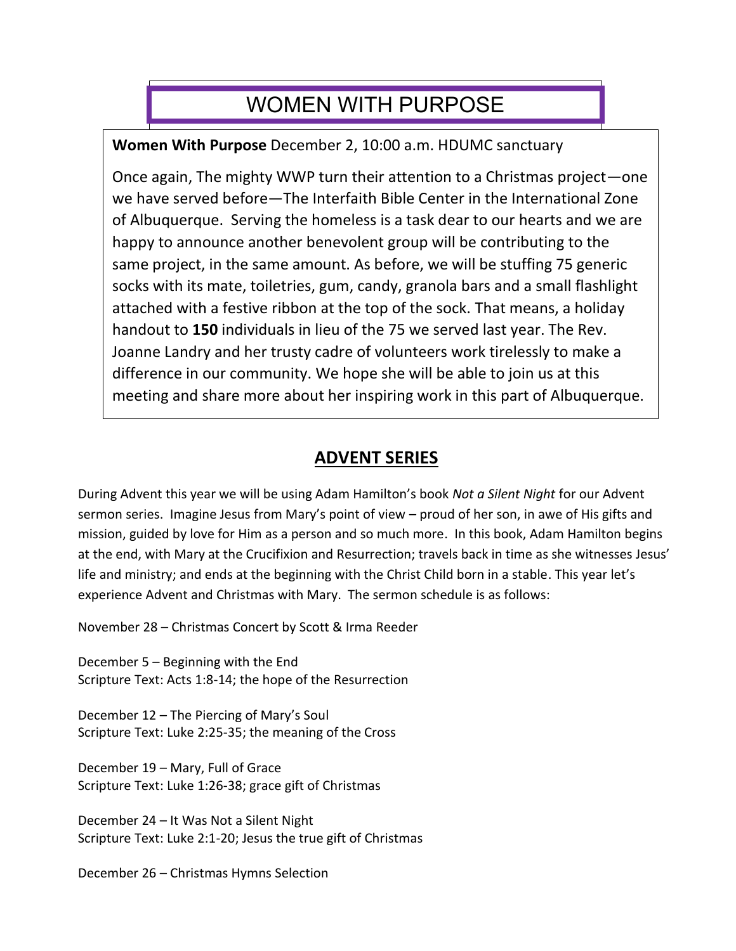## WOMEN WITH PURPOSE

**Women With Purpose** December 2, 10:00 a.m. HDUMC sanctuary

Once again, The mighty WWP turn their attention to a Christmas project—one we have served before—The Interfaith Bible Center in the International Zone of Albuquerque. Serving the homeless is a task dear to our hearts and we are happy to announce another benevolent group will be contributing to the same project, in the same amount. As before, we will be stuffing 75 generic socks with its mate, toiletries, gum, candy, granola bars and a small flashlight attached with a festive ribbon at the top of the sock. That means, a holiday handout to **150** individuals in lieu of the 75 we served last year. The Rev. Joanne Landry and her trusty cadre of volunteers work tirelessly to make a difference in our community. We hope she will be able to join us at this meeting and share more about her inspiring work in this part of Albuquerque.

## **ADVENT SERIES**

During Advent this year we will be using Adam Hamilton's book *Not a Silent Night* for our Advent sermon series. Imagine Jesus from Mary's point of view – proud of her son, in awe of His gifts and mission, guided by love for Him as a person and so much more. In this book, Adam Hamilton begins at the end, with Mary at the Crucifixion and Resurrection; travels back in time as she witnesses Jesus' life and ministry; and ends at the beginning with the Christ Child born in a stable. This year let's experience Advent and Christmas with Mary. The sermon schedule is as follows:

November 28 – Christmas Concert by Scott & Irma Reeder

December 5 – Beginning with the End Scripture Text: Acts 1:8-14; the hope of the Resurrection

December 12 – The Piercing of Mary's Soul Scripture Text: Luke 2:25-35; the meaning of the Cross

December 19 – Mary, Full of Grace Scripture Text: Luke 1:26-38; grace gift of Christmas

December 24 – It Was Not a Silent Night Scripture Text: Luke 2:1-20; Jesus the true gift of Christmas

December 26 – Christmas Hymns Selection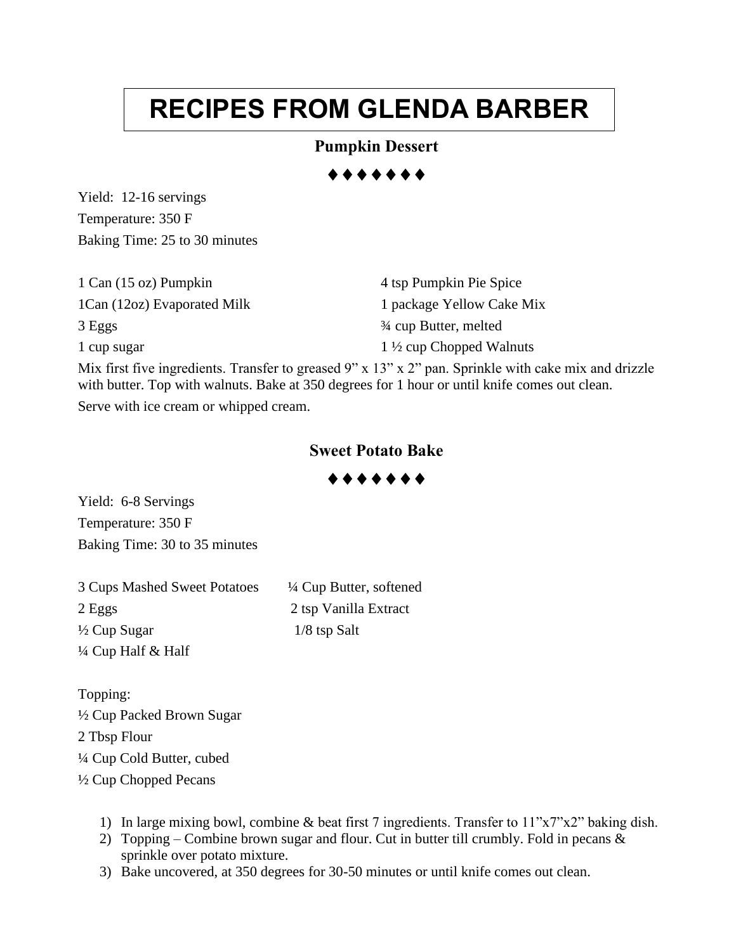# **RECIPES FROM GLENDA BARBER**

### **Pumpkin Dessert**

Yield: 12-16 servings Temperature: 350 F Baking Time: 25 to 30 minutes

| 1 Can (15 oz) Pumpkin       | 4 tsp Pumpkin Pie Spice            |
|-----------------------------|------------------------------------|
| 1Can (12oz) Evaporated Milk | 1 package Yellow Cake Mix          |
| 3 Eggs                      | 3/4 cup Butter, melted             |
| 1 cup sugar                 | $1\frac{1}{2}$ cup Chopped Walnuts |

Mix first five ingredients. Transfer to greased 9" x 13" x 2" pan. Sprinkle with cake mix and drizzle with butter. Top with walnuts. Bake at 350 degrees for 1 hour or until knife comes out clean. Serve with ice cream or whipped cream.

### **Sweet Potato Bake**

......

Yield: 6-8 Servings Temperature: 350 F Baking Time: 30 to 35 minutes

3 Cups Mashed Sweet Potatoes  $\frac{1}{4}$  Cup Butter, softened 2 Eggs 2 tsp Vanilla Extract  $\frac{1}{8}$  Cup Sugar 1/8 tsp Salt ¼ Cup Half & Half

Topping: ½ Cup Packed Brown Sugar 2 Tbsp Flour ¼ Cup Cold Butter, cubed ½ Cup Chopped Pecans

- 1) In large mixing bowl, combine & beat first 7 ingredients. Transfer to 11"x7"x2" baking dish.
- 2) Topping Combine brown sugar and flour. Cut in butter till crumbly. Fold in pecans  $\&$ sprinkle over potato mixture.
- 3) Bake uncovered, at 350 degrees for 30-50 minutes or until knife comes out clean.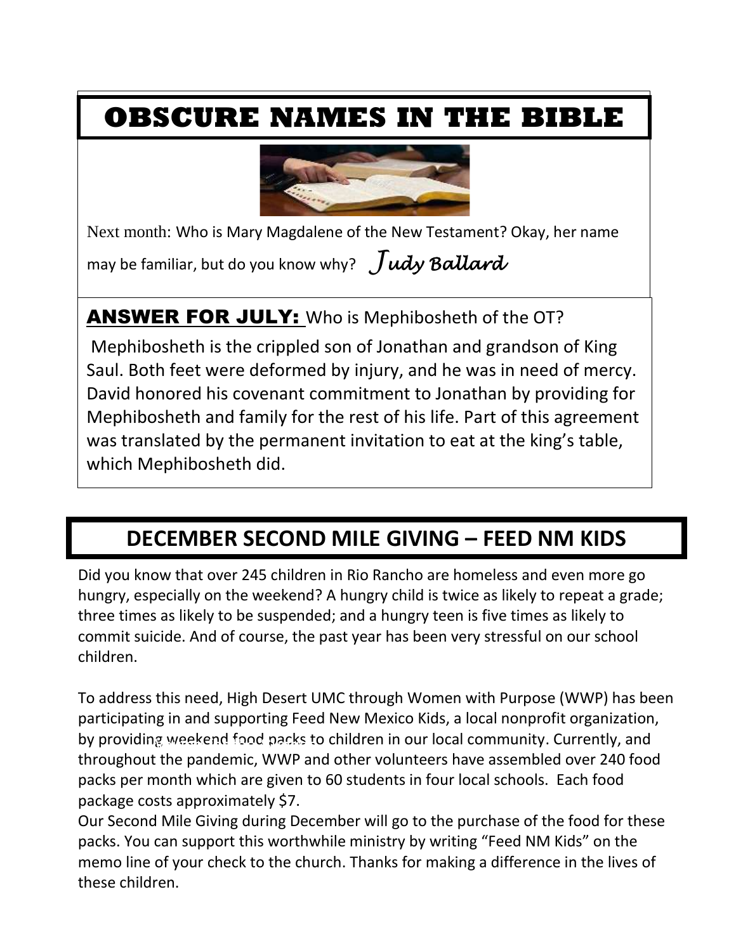## **OBSCURE NAMES IN THE BIBLE**



e Next month: Who is Mary Magdalene of the New Testament? Okay, her name

may be familiar, but do you know why? *Judy Ballard*

 $\overline{\phantom{a}}$ 

## ANSWER FOR JULY: Who is Mephibosheth of the OT?

Mephibosheth is the crippled son of Jonathan and grandson of King Saul. Both feet were deformed by injury, and he was in need of mercy. David honored his covenant commitment to Jonathan by providing for Mephibosheth and family for the rest of his life. Part of this agreement was translated by the permanent invitation to eat at the king's table, which Mephibosheth did.

## **DECEMBER SECOND MILE GIVING – FEED NM KIDS**

Did you know that over 245 children in Rio Rancho are homeless and even more go hungry, especially on the weekend? A hungry child is twice as likely to repeat a grade; three times as likely to be suspended; and a hungry teen is five times as likely to commit suicide. And of course, the past year has been very stressful on our school children.

To address this need, High Desert UMC through Women with Purpose (WWP) has been participating in and supporting Feed New Mexico Kids, a local nonprofit organization, by providing weekend food packs to children in our local community. Currently, and throughout the pandemic, WWP and other volunteers have assembled over 240 food packs per month which are given to 60 students in four local schools. Each food package costs approximately \$7.

Our Second Mile Giving during December will go to the purchase of the food for these packs. You can support this worthwhile ministry by writing "Feed NM Kids" on the memo line of your check to the church. Thanks for making a difference in the lives of these children.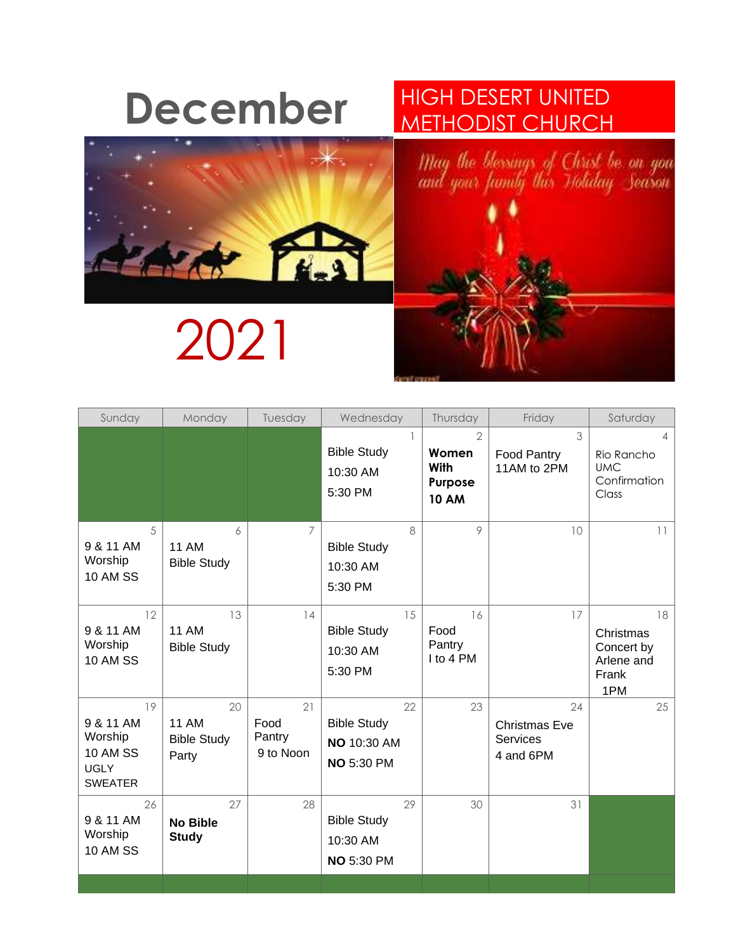# **December HIGH DESERT UNITED**



# 2021

# METHODIST CHURCH



| Sunday                                                                         | Monday                                            | Tuesday                           | Wednesday                                                           | Thursday                                                          | Friday                                              | Saturday                                                    |
|--------------------------------------------------------------------------------|---------------------------------------------------|-----------------------------------|---------------------------------------------------------------------|-------------------------------------------------------------------|-----------------------------------------------------|-------------------------------------------------------------|
|                                                                                |                                                   |                                   | <b>Bible Study</b><br>10:30 AM<br>5:30 PM                           | $\overline{2}$<br>Women<br><b>With</b><br>Purpose<br><b>10 AM</b> | 3<br>Food Pantry<br>11AM to 2PM                     | Δ<br>Rio Rancho<br><b>UMC</b><br>Confirmation<br>Class      |
| 5<br>9 & 11 AM<br>Worship<br><b>10 AM SS</b>                                   | 6<br><b>11 AM</b><br><b>Bible Study</b>           | 7                                 | 8<br><b>Bible Study</b><br>10:30 AM<br>5:30 PM                      | 9                                                                 | 10                                                  | 11                                                          |
| 12<br>9 & 11 AM<br>Worship<br><b>10 AM SS</b>                                  | 13<br><b>11 AM</b><br><b>Bible Study</b>          | 14                                | 15<br><b>Bible Study</b><br>10:30 AM<br>5:30 PM                     | 16<br>Food<br>Pantry<br>I to 4 PM                                 | 17                                                  | 18<br>Christmas<br>Concert by<br>Arlene and<br>Frank<br>1PM |
| 19<br>9 & 11 AM<br>Worship<br><b>10 AM SS</b><br><b>UGLY</b><br><b>SWEATER</b> | 20<br><b>11 AM</b><br><b>Bible Study</b><br>Party | 21<br>Food<br>Pantry<br>9 to Noon | 22<br><b>Bible Study</b><br><b>NO 10:30 AM</b><br><b>NO 5:30 PM</b> | 23                                                                | 24<br><b>Christmas Eve</b><br>Services<br>4 and 6PM | 25                                                          |
| 26<br>9 & 11 AM<br>Worship<br><b>10 AM SS</b>                                  | 27<br><b>No Bible</b><br><b>Study</b>             | 28                                | 29<br><b>Bible Study</b><br>10:30 AM<br><b>NO 5:30 PM</b>           | 30                                                                | 31                                                  |                                                             |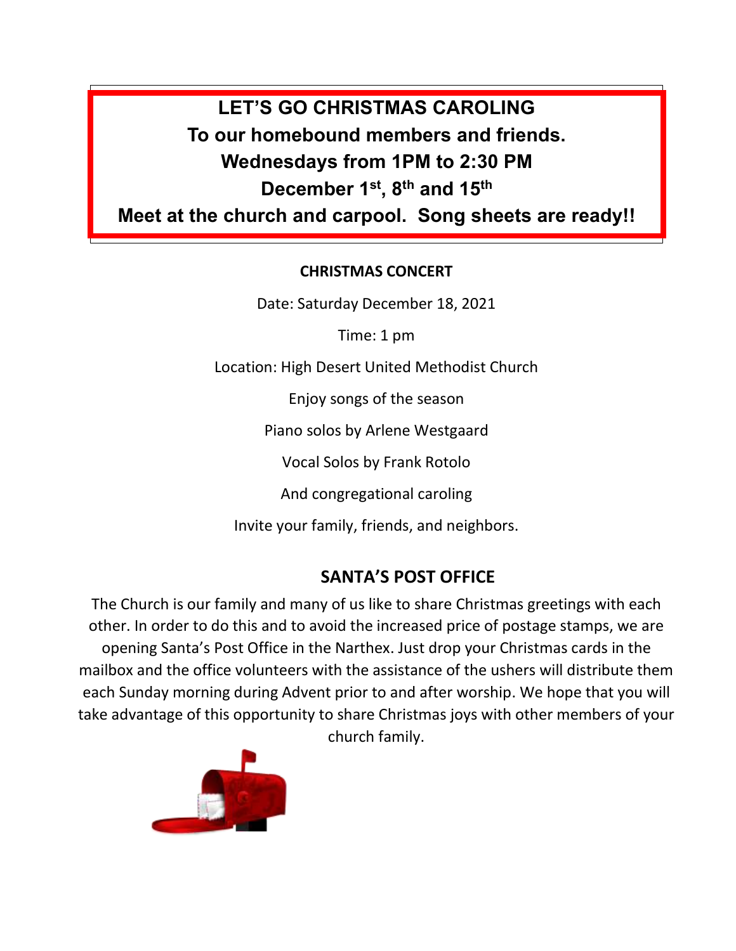## **LET'S GO CHRISTMAS CAROLING To our homebound members and friends. Wednesdays from 1PM to 2:30 PM December 1st, 8th and 15th**

**Meet at the church and carpool. Song sheets are ready!!**

## **CHRISTMAS CONCERT**

Date: Saturday December 18, 2021

Time: 1 pm

Location: High Desert United Methodist Church

Enjoy songs of the season

Piano solos by Arlene Westgaard

Vocal Solos by Frank Rotolo

And congregational caroling

Invite your family, friends, and neighbors.

## **SANTA'S POST OFFICE**

The Church is our family and many of us like to share Christmas greetings with each other. In order to do this and to avoid the increased price of postage stamps, we are opening Santa's Post Office in the Narthex. Just drop your Christmas cards in the mailbox and the office volunteers with the assistance of the ushers will distribute them each Sunday morning during Advent prior to and after worship. We hope that you will take advantage of this opportunity to share Christmas joys with other members of your

church family.

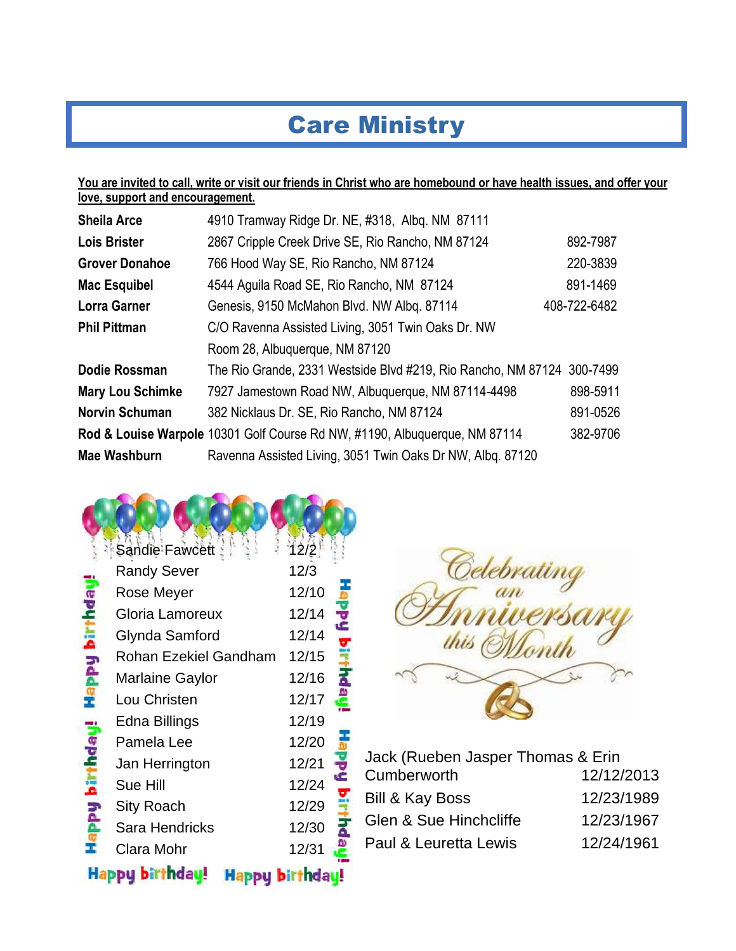## Care Ministry

#### **You are invited to call, write or visit our friends in Christ who are homebound or have health issues, and offer your love, support and encouragement.**

| <b>Sheila Arce</b>      | 4910 Tramway Ridge Dr. NE, #318, Albg. NM 87111                            |              |
|-------------------------|----------------------------------------------------------------------------|--------------|
| <b>Lois Brister</b>     | 2867 Cripple Creek Drive SE, Rio Rancho, NM 87124                          | 892-7987     |
| <b>Grover Donahoe</b>   | 766 Hood Way SE, Rio Rancho, NM 87124                                      | 220-3839     |
| <b>Mac Esquibel</b>     | 4544 Aguila Road SE, Rio Rancho, NM 87124                                  | 891-1469     |
| <b>Lorra Garner</b>     | Genesis, 9150 McMahon Blvd. NW Albg. 87114                                 | 408-722-6482 |
| <b>Phil Pittman</b>     | C/O Ravenna Assisted Living, 3051 Twin Oaks Dr. NW                         |              |
|                         | Room 28, Albuquerque, NM 87120                                             |              |
| Dodie Rossman           | The Rio Grande, 2331 Westside Blvd #219, Rio Rancho, NM 87124 300-7499     |              |
| <b>Mary Lou Schimke</b> | 7927 Jamestown Road NW, Albuquerque, NM 87114-4498                         | 898-5911     |
| <b>Norvin Schuman</b>   | 382 Nicklaus Dr. SE, Rio Rancho, NM 87124                                  | 891-0526     |
|                         | Rod & Louise Warpole 10301 Golf Course Rd NW, #1190, Albuquerque, NM 87114 | 382-9706     |
| <b>Mae Washburn</b>     | Ravenna Assisted Living, 3051 Twin Oaks Dr NW, Albq. 87120                 |              |

|                     | Sandie Fawcett        | 12/2            |  |
|---------------------|-----------------------|-----------------|--|
|                     | <b>Randy Sever</b>    | 12/3            |  |
|                     | <b>Rose Meyer</b>     | 12/10           |  |
|                     | Gloria Lamoreux       | 12/14           |  |
| <b>Happy birthd</b> | Glynda Samford        | 12/14           |  |
|                     | Rohan Ezekiel Gandham | 12/15           |  |
|                     | Marlaine Gaylor       | 12/16           |  |
|                     | Lou Christen          | 12/17           |  |
|                     | Edna Billings         | 12/19           |  |
| ineputuq hdde       | Pamela Lee            | 12/20           |  |
|                     | Jan Herrington        | 12/21           |  |
|                     | Sue Hill              | 12/24           |  |
|                     | <b>Sity Roach</b>     | 12/29           |  |
|                     | <b>Sara Hendricks</b> | 12/30           |  |
|                     | Clara Mohr            | 12/31           |  |
|                     | Happy birthdau!       | Happu birthdau! |  |



| Jack (Rueben Jasper Thomas & Erin |
|-----------------------------------|
| 12/12/2013                        |
| 12/23/1989                        |
| 12/23/1967                        |
| 12/24/1961                        |
|                                   |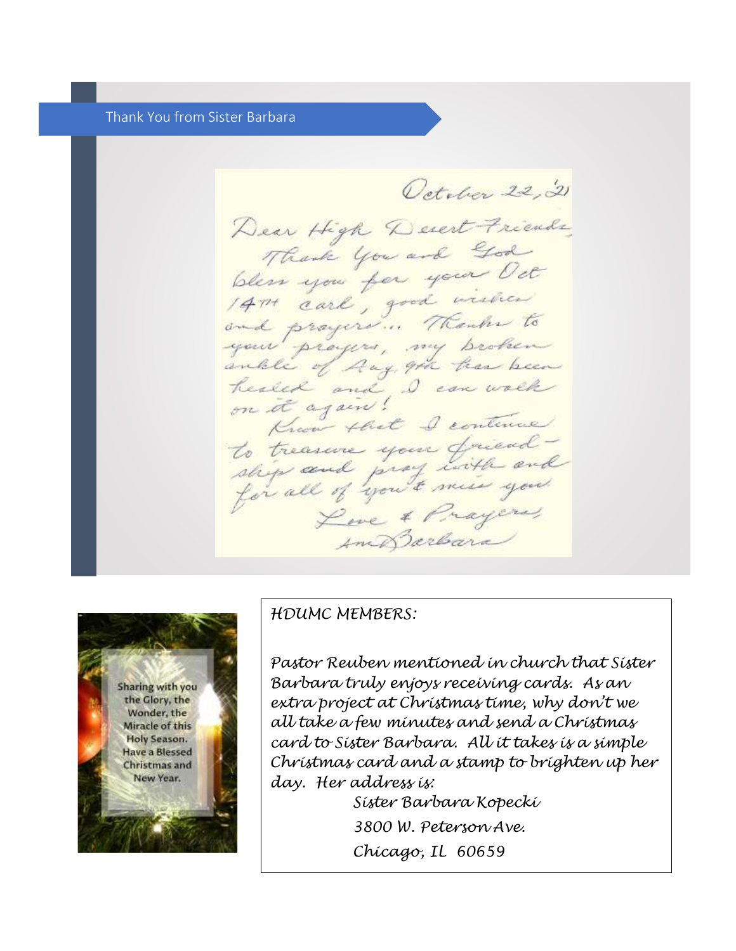#### Thank You from Sister Barbara

October 22, 21 Dear High Devert Friends Thank you and God bless you for your Oct and prayers ... Thanks to your prayers, my broken ankle of Aug, 9th has been healed and, I can walk on it again! Know that I continue to treasure your friend -<br>ship and prof with and Live & Prayers, Am Barbara



#### *HDUMC MEMBERS:*

*Pastor Reuben mentioned in church that Sister Barbara truly enjoys receiving cards. As an extra project at Christmas time, why don't we all take a few minutes and send a Christmas card to Sister Barbara. All it takes is a simple Christmas card and a stamp to brighten up her day. Her address is:* 

> *Sister Barbara Kopecki 3800 W. Peterson Ave. Chicago, IL 60659*